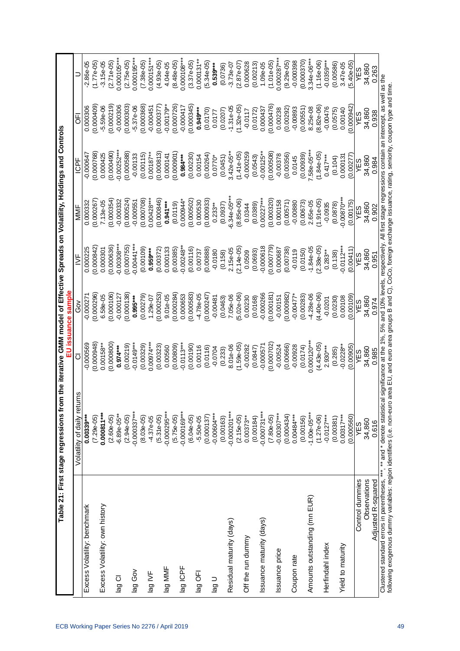|                                                                                                                                                                                                                                                                                                                                                                                                  | Table 21: First stage regressions from the iterative GMM model of Effective Spreads on Volatility, Holdings and Controls |              | EU issuance sample |               |                |               |               |               |
|--------------------------------------------------------------------------------------------------------------------------------------------------------------------------------------------------------------------------------------------------------------------------------------------------------------------------------------------------------------------------------------------------|--------------------------------------------------------------------------------------------------------------------------|--------------|--------------------|---------------|----------------|---------------|---------------|---------------|
|                                                                                                                                                                                                                                                                                                                                                                                                  | ςu<br>Volatility of daily retu                                                                                           | ਠ            | So<br>O            | $\geq$        | MMF            | ICPF          | ΘĒ            | Ξ             |
| Excess Volatility: benchmark                                                                                                                                                                                                                                                                                                                                                                     | $0.00339***$                                                                                                             | $-0.000569$  | $-0.000271$        | 0.000225      | 0.000332       | $-0.000647$   | 0.000306      | $-2.86e - 05$ |
|                                                                                                                                                                                                                                                                                                                                                                                                  | $(7.29e-05)$                                                                                                             | (0.000948)   | 0.000296           | (0.000842)    | (0.000267)     | (0.000768)    | (0.000409)    | $(1.77e-05)$  |
| Excess Volatility: own history                                                                                                                                                                                                                                                                                                                                                                   | $0.000811***$                                                                                                            | $0.00158***$ | 6.58e-05           | 0.000301      | 7.13e-05       | 0.000425      | $-5.59e-06$   | $-3.15e-05$   |
|                                                                                                                                                                                                                                                                                                                                                                                                  | $(2.60e-05)$                                                                                                             | (0.000800)   | (0.000106)         | (0.000636)    | (0.000354)     | (0.000490)    | (0.000219)    | $(2.71e-05)$  |
| Iag CI                                                                                                                                                                                                                                                                                                                                                                                           | $-6.89e-05**$                                                                                                            | $0.974***$   | $-0.000127$        | $-0.00308***$ | $-0.000332$    | $-0.00252***$ | -0.000306     | $0.000105***$ |
|                                                                                                                                                                                                                                                                                                                                                                                                  | $(2.94e-05)$                                                                                                             | (0.00219)    | (0.000138)         | (0.000755)    | (0.000524)     | (0.000588)    | (0.000303)    | $(2.75e-05)$  |
| voĐ ĝel                                                                                                                                                                                                                                                                                                                                                                                          | $-0.000337***$                                                                                                           | $-0.0149***$ | $0.995***$         | $0.00441***$  | $-0.000551$    | $-0.00133$    | $-5.37e-06$   | $0.000195***$ |
|                                                                                                                                                                                                                                                                                                                                                                                                  | $(8.03e-05)$                                                                                                             | (0.00329)    | (0.00279)          | (0.00109)     | (0.000708)     | (0.00115)     | (0.000368)    | $(7.38e-05)$  |
| lag IVF                                                                                                                                                                                                                                                                                                                                                                                          | $-4.37e-05$                                                                                                              | $0.00974***$ | $1.29e-07$         | $0.959***$    | $0.00428***$   | $0.00187***$  | $-0.000451$   | $0.000151***$ |
|                                                                                                                                                                                                                                                                                                                                                                                                  | $(5.31e-05)$                                                                                                             | (0.00323)    | (0.000253)         | (0.00372)     | (0.000846)     | (0.000813)    | (0.000377     | $(4.93e-05)$  |
| lag MMF                                                                                                                                                                                                                                                                                                                                                                                          | $-0.000295***$                                                                                                           | 0.00560      | $9.01e-05$         | 0.000133      | $0.941***$     | 0.000141      | $-0.00179***$ | 4.04e-05      |
|                                                                                                                                                                                                                                                                                                                                                                                                  | $(5.75e-05)$                                                                                                             | (0.0809)     | (0.000284)         | (0.00385)     | (0.0119)       | (0.000901)    | (0.000726)    | $(8.48e-05)$  |
| lag ICPF                                                                                                                                                                                                                                                                                                                                                                                         | $-0.000169***$                                                                                                           | $-0.0113***$ | 0.000653           | $-0.00248**$  | 0.000944*      | $0.984***$    | $-0.000417$   | $0.000108***$ |
|                                                                                                                                                                                                                                                                                                                                                                                                  | $(6.04e-05)$                                                                                                             | (0.00190)    | (0.000583)         | (0.00116)     | (0.000502)     | (0.00230)     | (0.000345)    | $(3.37e-05)$  |
| lag OFI                                                                                                                                                                                                                                                                                                                                                                                          | $-5.50e-05$                                                                                                              | 0.00116      | $-4.78e-05$        | 0.00737       | 0.000530       | 0.00154       | $0.949***$    | $0.000131**$  |
|                                                                                                                                                                                                                                                                                                                                                                                                  | (0.000137)                                                                                                               | (0.0116)     | (0.000247)         | (0.00888)     | (0.000933)     | (0.00264)     | (0.0170)      | $(5.34e-05)$  |
| lag U                                                                                                                                                                                                                                                                                                                                                                                            | $-0.00604**$                                                                                                             | $-0.0704$    | $-0.00481$         | $-0.0180$     | $0.233***$     | $0.0770*$     | 0.0177        | $0.539***$    |
|                                                                                                                                                                                                                                                                                                                                                                                                  | (0.00163)                                                                                                                | (0.233)      | (0.0463)           | (0.158)       | (0.0937)       | (0.0451)      | (0.0207)      | (0.0736)      |
| Residual maturity (days)                                                                                                                                                                                                                                                                                                                                                                         | $-0.000201***$                                                                                                           | 8.01e-06     | 7.05e-06           | $2.15e-05$    | $-6.34e-05***$ | $3.42e-05**$  | $-1.31e-05$   | $-3.73e-07$   |
|                                                                                                                                                                                                                                                                                                                                                                                                  | $(2.15e-05)$                                                                                                             | $(1.59e-05)$ | $(5.02e-06)$       | $(2.14e-05)$  | $(8.85e-06)$   | $(1.41e-05)$  | $(1.32e-05)$  | $(2.87e-07)$  |
| Off the run dummy                                                                                                                                                                                                                                                                                                                                                                                | $0.00373**$                                                                                                              | $-0.00282$   | 0.00230            | 0.0509        | 0.0344         | $-0.000259$   | $-0.0117$     | 0.000628      |
|                                                                                                                                                                                                                                                                                                                                                                                                  | (0.00184)                                                                                                                | (0.0847)     | (0.0168)           | (0.0693)      | (0.0389)       | (0.0543)      | (0.0172)      | (0.00213)     |
| ssuance maturity (days)                                                                                                                                                                                                                                                                                                                                                                          | $-0.000731***$                                                                                                           | $-0.000571$  | -0.000266          | 0.000618      | $0.00227***$   | $-0.00125**$  | 0.000437      | $1.09e-05$    |
|                                                                                                                                                                                                                                                                                                                                                                                                  | $(7.80e-05)$                                                                                                             | (0.000702)   | (0.000181)         | (0.000779)    | (0.000320)     | (0.000508)    | 0.000476      | $(1.01e-05)$  |
| Issuance price                                                                                                                                                                                                                                                                                                                                                                                   | $-0.00307***$                                                                                                            | $-0.00524$   | $-0.00151$         | 0.000687      | 0.000158       | $-0.00378$    | 0.00238       | 0.000287***   |
|                                                                                                                                                                                                                                                                                                                                                                                                  | (0.000434)                                                                                                               | (0.00666)    | (0.000982)         | (0.00738)     | (0.00571)      | (0.00356)     | (0.00292)     | $(9.29e-05)$  |
| Coupon rate                                                                                                                                                                                                                                                                                                                                                                                      | $0.00484***$                                                                                                             | $-0.00928$   | $-0.00477*$        | $-0.0119$     | $-0.00880$     | 0.0145        | $-0.00893$    | $-0.000398$   |
|                                                                                                                                                                                                                                                                                                                                                                                                  | (0.00156)                                                                                                                | (0.0174)     | (0.00283)          | (0.0150)      | (0.00673)      | (0.00939)     | (0.00551)     | (0.000370)    |
| Amounts outstanding (mn EUR)                                                                                                                                                                                                                                                                                                                                                                     | $-1.00e-05***$                                                                                                           | 0.000120***  | $-4.28e-06$        | $-1.84e-05$   | 2.65e-05       | 7.58e-05***   | 8.25e-08      | $3.34e-06***$ |
|                                                                                                                                                                                                                                                                                                                                                                                                  | $(1.27e-06)$                                                                                                             | $(4.43e-05)$ | $(4.40e-06)$       | $(2.38e-05)$  | $(1.91e-05)$   | $(1.84e-05)$  | $(8.82e-06)$  | $(1.16e-06)$  |
| Herfindahl index                                                                                                                                                                                                                                                                                                                                                                                 | $-0.0127***$                                                                                                             | $2.930***$   | $-0.0201$          | $0.283**$     | $-0.0935$      | $0.417***$    | $-0.00476$    | $-0.0359***$  |
|                                                                                                                                                                                                                                                                                                                                                                                                  | (0.00381)                                                                                                                | (0.285)      | (0.0230)           | (0.138)       | (0.0878)       | (0.104)       | (0.0575)      | (0.00586)     |
| Yield to maturity                                                                                                                                                                                                                                                                                                                                                                                | $0.00317***$                                                                                                             | $-0.0228**$  | 0.00108            | $0.0112***$   | $0.00870***$   | 0.000131      | 0.00140       | 3.47e-05      |
|                                                                                                                                                                                                                                                                                                                                                                                                  | (0.000560)                                                                                                               | (0.00905)    | (0.00109)          | (0.00411)     | (0.00175)      | (0.00277)     | 0.000942      | $(5.40e-05)$  |
| Control dummies                                                                                                                                                                                                                                                                                                                                                                                  | YES                                                                                                                      | YES          | YES                | YES           | YES            | YES           | YES           | YES           |
| Observations                                                                                                                                                                                                                                                                                                                                                                                     | 34,860                                                                                                                   | 34,860       | 34,860             | 34,860        | 34,860         | 34,860        | 34,860        | 34,860        |
| Adjusted R-squared                                                                                                                                                                                                                                                                                                                                                                               | 0.616                                                                                                                    | 0.985        | 0.974              | 0.951         | 0.902          | 0.984         | 0.938         | 0.263         |
| Clustered standard errors in parentheses, ***, ** and * denote statistical significance at the 1%, 5% and 10% levels, respectively. All first stage regressions contain an intercept, as well as the<br>following exogenous dummy variables: region identifiers (i.e. non-euro area EU, and euro area groups B and C), CoCo, foreign exchange issuance, rating, seniority, coupon type and time. |                                                                                                                          |              |                    |               |                |               |               |               |